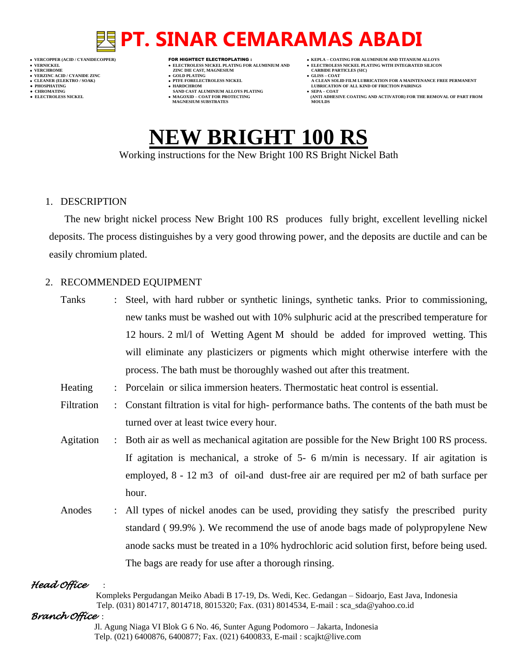- 
- 
- 

- **VERFORM ZINC DIE CAST, MAGNESIUM CARBIDE PARTICLES (SIC)**<br> **CARBIDE PARTING**
- **VERZINC ACID / CYANIDE ZINC GOLD PLATING GLISS – COAT**
	-
- **● CHROMATING SAND CAST ALUMINIUM ALLOYS PLATING SEPA – COAT MAGNESIUM SUBSTRATES MOULDS**
- **VERCOPPER (ACID / CYANIDECOPPER)** FOR HIGHTECT ELECTROPLATING :  **KEPLA – COATING FOR ALUMINIUM AND TITANIUM ALLOYS**
- **VERNICKEL ELECTROLESS NICKEL PLATING FOR ALUMINIUM AND ELECTROLESS NICKEL PLATING WITH INTEGRATED SILICON**
	-
- **CLEANER (ELEKTRO / SOAK) PTFE FORELECTROLESS NICKEL A CLEAN SOLID FILM LUBRICATION FOR A MAINTENANCE FREE PERMANENT ● PHOSPHATING HARDCHROM LUBRICATION OF ALL KIND OF FRICTION PAIRINGS**
- **● ELECTROLESS NICKEL MAGOXID – COAT FOR PROTECTING (ANTI ADHESIVE COATING AND ACTIVATOR) FOR THE REMOVAL OF PART FROM**

# **NEW BRIGHT 100 RS**

Working instructions for the New Bright 100 RS Bright Nickel Bath

### 1. DESCRIPTION

The new bright nickel process New Bright 100 RS produces fully bright, excellent levelling nickel deposits. The process distinguishes by a very good throwing power, and the deposits are ductile and can be easily chromium plated.

## 2. RECOMMENDED EQUIPMENT

Tanks : Steel, with hard rubber or synthetic linings, synthetic tanks. Prior to commissioning, new tanks must be washed out with 10% sulphuric acid at the prescribed temperature for 12 hours. 2 ml/l of Wetting Agent M should be added for improved wetting. This will eliminate any plasticizers or pigments which might otherwise interfere with the process. The bath must be thoroughly washed out after this treatment. Heating : Porcelain or silica immersion heaters. Thermostatic heat control is essential. Filtration : Constant filtration is vital for high- performance baths. The contents of the bath must be turned over at least twice every hour. Agitation : Both air as well as mechanical agitation are possible for the New Bright 100 RS process. If agitation is mechanical, a stroke of 5- 6 m/min is necessary. If air agitation is employed, 8 - 12 m3 of oil-and dust-free air are required per m2 of bath surface per hour. Anodes : All types of nickel anodes can be used, providing they satisfy the prescribed purity standard ( 99.9% ). We recommend the use of anode bags made of polypropylene New anode sacks must be treated in a 10% hydrochloric acid solution first, before being used. The bags are ready for use after a thorough rinsing.

## *Head Office* :

 Kompleks Pergudangan Meiko Abadi B 17-19, Ds. Wedi, Kec. Gedangan – Sidoarjo, East Java, Indonesia Telp. (031) 8014717, 8014718, 8015320; Fax. (031) 8014534, E-mail : sca\_sda@yahoo.co.id

### *Branch Office* :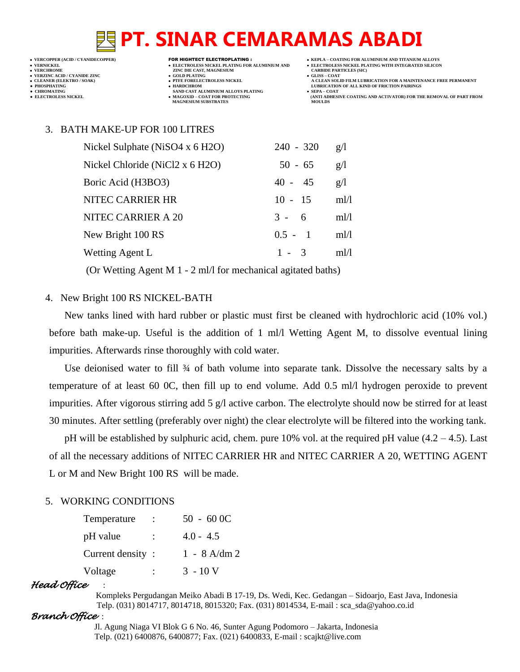

**VERFORM ZINC DIE CAST, MAGNESIUM CARBIDE PARTICLES (SIC)**<br> **CARBIDE PARTING** 

- 
- 
- **CHROMATING SAND CAST ALUMINIUM ALLOYS PLATING**<br>• **ELECTROLESS NICKEL**<br>• **MAGOXID COAT FOR PROTECTING • MAGOXID – COAT FOR PROTECTING<br>MAGNESIUM SUBSTRATES**
- 
- -
- **A CLEAN SOLID FILM LUBRICATION FOR A MAINTENANCE FREE PERMANENT**
- **ELECTROLESS AND ACTIVATOR) FOR THE REMOVAL OF PART FROM (ANTI ADHESIVE COATING AND ACTIVATOR) FOR THE REMOVAL OF PART FROM <b>MOULDS**

#### 3. BATH MAKE-UP FOR 100 LITRES

| Nickel Sulphate (NiSO4 x 6 H2O) | $240 - 320$ | g/l  |
|---------------------------------|-------------|------|
| Nickel Chloride (NiCl2 x 6 H2O) | $50 - 65$   | g/l  |
| Boric Acid (H3BO3)              | $40 - 45$   | g/l  |
| NITEC CARRIER HR                | $10 - 15$   | ml/l |
| NITEC CARRIER A 20              | $3 - 6$     | ml/l |
| New Bright 100 RS               | $0.5 - 1$   | ml/l |
| Wetting Agent L                 | $1 - 3$     | ml/l |
|                                 |             |      |

(Or Wetting Agent M 1 - 2 ml/l for mechanical agitated baths)

#### 4. New Bright 100 RS NICKEL-BATH

New tanks lined with hard rubber or plastic must first be cleaned with hydrochloric acid (10% vol.) before bath make-up. Useful is the addition of 1 ml/l Wetting Agent M, to dissolve eventual lining impurities. Afterwards rinse thoroughly with cold water.

Use deionised water to fill 34 of bath volume into separate tank. Dissolve the necessary salts by a temperature of at least 60 0C, then fill up to end volume. Add 0.5 ml/l hydrogen peroxide to prevent impurities. After vigorous stirring add 5 g/l active carbon. The electrolyte should now be stirred for at least 30 minutes. After settling (preferably over night) the clear electrolyte will be filtered into the working tank.

pH will be established by sulphuric acid, chem. pure 10% vol. at the required pH value  $(4.2 - 4.5)$ . Last of all the necessary additions of NITEC CARRIER HR and NITEC CARRIER A 20, WETTING AGENT L or M and New Bright 100 RS will be made.

### 5. WORKING CONDITIONS

| Temperature      |                      | $50 - 600C$    |
|------------------|----------------------|----------------|
| pH value         | $\ddot{\phantom{a}}$ | $4.0 - 4.5$    |
| Current density: |                      | $1 - 8$ A/dm 2 |
| Voltage          |                      | $3 - 10V$      |

#### *Head Office* :

 Kompleks Pergudangan Meiko Abadi B 17-19, Ds. Wedi, Kec. Gedangan – Sidoarjo, East Java, Indonesia Telp. (031) 8014717, 8014718, 8015320; Fax. (031) 8014534, E-mail : sca\_sda@yahoo.co.id

#### *Branch Office* :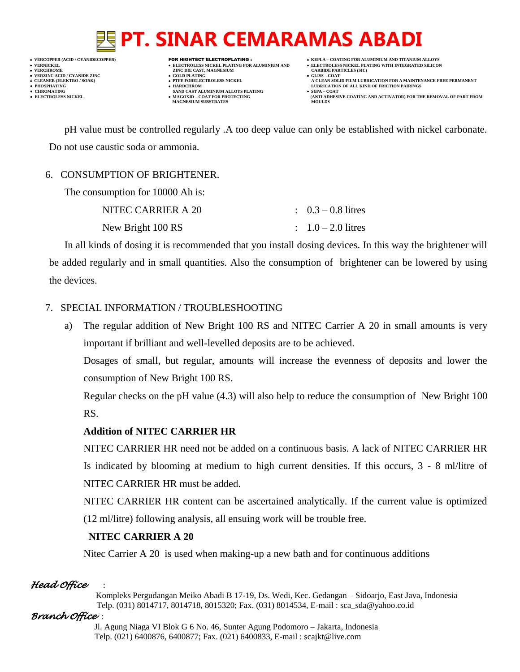**VERNICKEL ELECTROLESS NICKEL PLATING FOR ALUMINIUM AND ELECTROLESS NICKEL PLATING WITH INTEGRATED SILICON**

**VERFORM ZINC DIE CAST, MAGNESIUM CARBIDE PARTICLES (SIC)**<br> **CARBIDE PARTING** 

- **VERZINC ACID / CYANIDE ZINC GOLD PLATING GLISS – COAT**
	-
- **CHROMATING SAND CAST ALUMINIUM ALLOYS PLATING**<br>• **ELECTROLESS NICKEL**<br>• **MAGOXID COAT FOR PROTECTING • MAGOXID – COAT FOR PROTECTING<br>MAGNESIUM SUBSTRATES**
- **VERCOPPER (ACID / CYANIDECOPPER)** FOR HIGHTECT ELECTROPLATING :  **KEPLA – COATING FOR ALUMINIUM AND TITANIUM ALLOYS**
	-
- **CLEANER (ELEKTRO / SOAK) PTFE FORELECTROLESS NICKEL A CLEAN SOLID FILM LUBRICATION FOR A MAINTENANCE FREE PERMANENT ● PHOSPHATING HARDCHROM LUBRICATION OF ALL KIND OF FRICTION PAIRINGS** 
	- **ELECTROLESS AND ACTIVATOR) FOR THE REMOVAL OF PART FROM (ANTI ADHESIVE COATING AND ACTIVATOR) FOR THE REMOVAL OF PART FROM <b>MOULDS**

pH value must be controlled regularly .A too deep value can only be established with nickel carbonate. Do not use caustic soda or ammonia.

# 6. CONSUMPTION OF BRIGHTENER.

| The consumption for 10000 Ah is: |                               |
|----------------------------------|-------------------------------|
| NITEC CARRIER A 20               | $\therefore$ 0.3 – 0.8 litres |
| New Bright 100 RS                | $1.0 - 2.0$ litres            |

In all kinds of dosing it is recommended that you install dosing devices. In this way the brightener will be added regularly and in small quantities. Also the consumption of brightener can be lowered by using the devices.

# 7. SPECIAL INFORMATION / TROUBLESHOOTING

a) The regular addition of New Bright 100 RS and NITEC Carrier A 20 in small amounts is very important if brilliant and well-levelled deposits are to be achieved.

Dosages of small, but regular, amounts will increase the evenness of deposits and lower the consumption of New Bright 100 RS.

Regular checks on the pH value (4.3) will also help to reduce the consumption of New Bright 100 RS.

# **Addition of NITEC CARRIER HR**

NITEC CARRIER HR need not be added on a continuous basis. A lack of NITEC CARRIER HR Is indicated by blooming at medium to high current densities. If this occurs, 3 - 8 ml/litre of NITEC CARRIER HR must be added.

NITEC CARRIER HR content can be ascertained analytically. If the current value is optimized (12 ml/litre) following analysis, all ensuing work will be trouble free.

# **NITEC CARRIER A 20**

Nitec Carrier A 20 is used when making-up a new bath and for continuous additions

# *Head Office* :

 Kompleks Pergudangan Meiko Abadi B 17-19, Ds. Wedi, Kec. Gedangan – Sidoarjo, East Java, Indonesia Telp. (031) 8014717, 8014718, 8015320; Fax. (031) 8014534, E-mail : sca\_sda@yahoo.co.id

# *Branch Office* :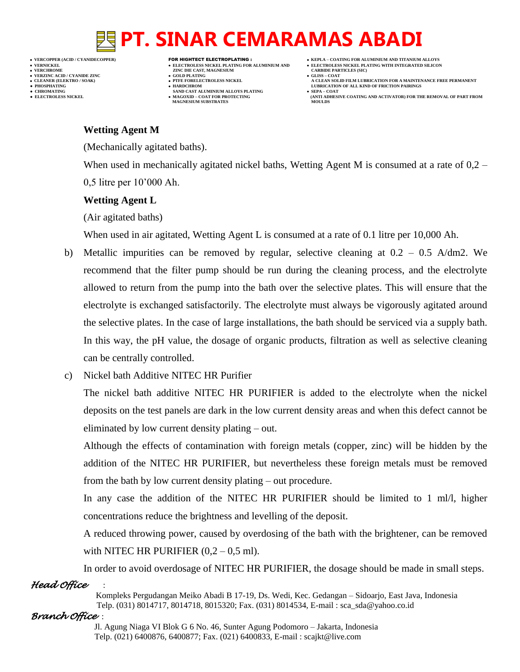- 
- 

# **VERNICKEL ELECTROLESS NICKEL PLATING FOR ALUMINIUM AND ELECTROLESS NICKEL PLATING WITH INTEGRATED SILICON**

- **VERFORM ZINC DIE CAST, MAGNESIUM CARBIDE PARTICLES (SIC)**<br> **CARBIDE PARTING VERZINC ACID / CYANIDE ZINC GOLD PLATING GLISS – COAT**
	-
- **PHOSPHATING HARDCHROM LUBRICATION OF ALL KIND OF FRICTION PAIRINGS ● CHROMATING SAND CAST ALUMINIUM ALLOYS PLATING SEPA – COAT MAGNESIUM SUBSTRATES MOULDS**
- **VERCOPPER (ACID / CYANIDECOPPER)** FOR HIGHTECT ELECTROPLATING :  **KEPLA – COATING FOR ALUMINIUM AND TITANIUM ALLOYS**
	-
- **CLEANER (ELEKTRO / SOAK) PTFE FORELECTROLESS NICKEL A CLEAN SOLID FILM LUBRICATION FOR A MAINTENANCE FREE PERMANENT**
- **● ELECTROLESS NICKEL MAGOXID – COAT FOR PROTECTING (ANTI ADHESIVE COATING AND ACTIVATOR) FOR THE REMOVAL OF PART FROM**

# **Wetting Agent M**

(Mechanically agitated baths).

When used in mechanically agitated nickel baths, Wetting Agent M is consumed at a rate of 0.2 – 0,5 litre per 10'000 Ah.

## **Wetting Agent L**

(Air agitated baths)

When used in air agitated, Wetting Agent L is consumed at a rate of 0.1 litre per 10,000 Ah.

- b) Metallic impurities can be removed by regular, selective cleaning at  $0.2 0.5$  A/dm2. We recommend that the filter pump should be run during the cleaning process, and the electrolyte allowed to return from the pump into the bath over the selective plates. This will ensure that the electrolyte is exchanged satisfactorily. The electrolyte must always be vigorously agitated around the selective plates. In the case of large installations, the bath should be serviced via a supply bath. In this way, the pH value, the dosage of organic products, filtration as well as selective cleaning can be centrally controlled.
- c) Nickel bath Additive NITEC HR Purifier

The nickel bath additive NITEC HR PURIFIER is added to the electrolyte when the nickel deposits on the test panels are dark in the low current density areas and when this defect cannot be eliminated by low current density plating – out.

Although the effects of contamination with foreign metals (copper, zinc) will be hidden by the addition of the NITEC HR PURIFIER, but nevertheless these foreign metals must be removed from the bath by low current density plating – out procedure.

In any case the addition of the NITEC HR PURIFIER should be limited to 1 ml/l, higher concentrations reduce the brightness and levelling of the deposit.

A reduced throwing power, caused by overdosing of the bath with the brightener, can be removed with NITEC HR PURIFIER  $(0.2 - 0.5 \text{ ml})$ .

*Head Office* : In order to avoid overdosage of NITEC HR PURIFIER, the dosage should be made in small steps.

 Kompleks Pergudangan Meiko Abadi B 17-19, Ds. Wedi, Kec. Gedangan – Sidoarjo, East Java, Indonesia Telp. (031) 8014717, 8014718, 8015320; Fax. (031) 8014534, E-mail : sca\_sda@yahoo.co.id

## *Branch Office* :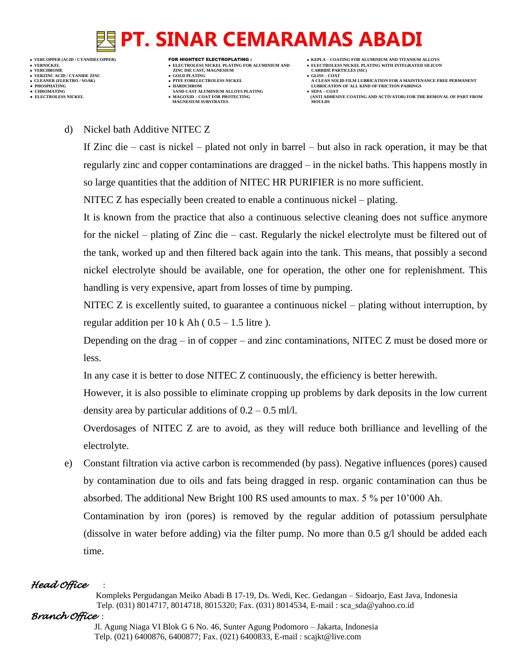- **VERNICKEL ELECTROLESS NICKEL PLATING FOR ALUMINIUM AND ELECTROLESS NICKEL PLATING WITH INTEGRATED SILICON VERZINC ACID / CYANIDE ZINC GOLD PLATING GLISS – COAT ● PHOSPHATING HARDCHROM LUBRICATION OF ALL KIND OF FRICTION PAIRINGS**
- 
- 
- **VERFORM ZINC DIE CAST, MAGNESIUM CARBIDE PARTICLES (SIC)**<br> **CARBIDE PARTING**
- 
- 
- **● CHROMATING SAND CAST ALUMINIUM ALLOYS PLATING SEPA – COAT MAGNESIUM SUBSTRATES MOULDS**
- **VERCOPPER (ACID / CYANIDECOPPER)** FOR HIGHTECT ELECTROPLATING :  **KEPLA – COATING FOR ALUMINIUM AND TITANIUM ALLOYS**
	-
- **CLEANER (ELEKTRO / SOAK) PTFE FORELECTROLESS NICKEL A CLEAN SOLID FILM LUBRICATION FOR A MAINTENANCE FREE PERMANENT**
- **● ELECTROLESS NICKEL MAGOXID – COAT FOR PROTECTING (ANTI ADHESIVE COATING AND ACTIVATOR) FOR THE REMOVAL OF PART FROM**

### d) Nickel bath Additive NITEC Z

If Zinc die – cast is nickel – plated not only in barrel – but also in rack operation, it may be that regularly zinc and copper contaminations are dragged – in the nickel baths. This happens mostly in so large quantities that the addition of NITEC HR PURIFIER is no more sufficient.

NITEC Z has especially been created to enable a continuous nickel – plating.

It is known from the practice that also a continuous selective cleaning does not suffice anymore for the nickel – plating of Zinc die – cast. Regularly the nickel electrolyte must be filtered out of the tank, worked up and then filtered back again into the tank. This means, that possibly a second nickel electrolyte should be available, one for operation, the other one for replenishment. This handling is very expensive, apart from losses of time by pumping.

NITEC Z is excellently suited, to guarantee a continuous nickel – plating without interruption, by regular addition per  $10 \text{ k}$  Ah (  $0.5 - 1.5$  litre ).

Depending on the drag – in of copper – and zinc contaminations, NITEC Z must be dosed more or less.

In any case it is better to dose NITEC Z continuously, the efficiency is better herewith.

However, it is also possible to eliminate cropping up problems by dark deposits in the low current density area by particular additions of  $0.2 - 0.5$  ml/l.

Overdosages of NITEC Z are to avoid, as they will reduce both brilliance and levelling of the electrolyte.

e) Constant filtration via active carbon is recommended (by pass). Negative influences (pores) caused by contamination due to oils and fats being dragged in resp. organic contamination can thus be absorbed. The additional New Bright 100 RS used amounts to max. 5 % per 10'000 Ah. Contamination by iron (pores) is removed by the regular addition of potassium persulphate (dissolve in water before adding) via the filter pump. No more than 0.5 g/l should be added each time.

# *Head Office* :

 Kompleks Pergudangan Meiko Abadi B 17-19, Ds. Wedi, Kec. Gedangan – Sidoarjo, East Java, Indonesia Telp. (031) 8014717, 8014718, 8015320; Fax. (031) 8014534, E-mail : sca\_sda@yahoo.co.id

# *Branch Office* :